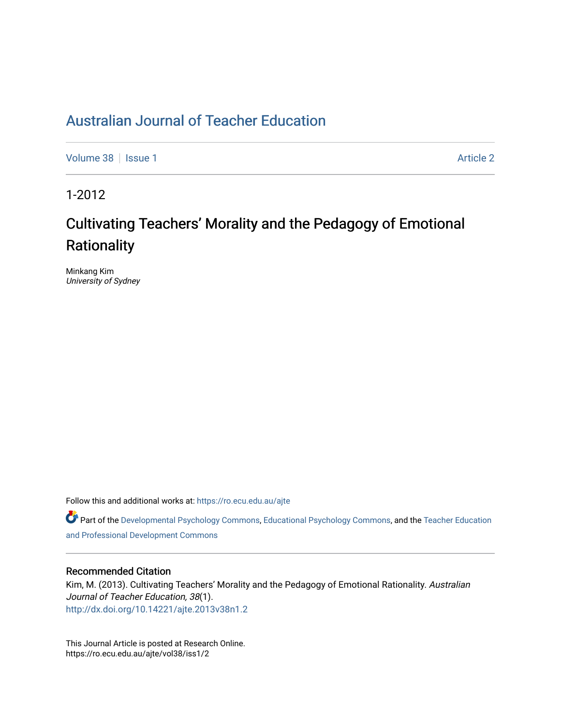[Volume 38](https://ro.ecu.edu.au/ajte/vol38) | [Issue 1](https://ro.ecu.edu.au/ajte/vol38/iss1) [Article 2](https://ro.ecu.edu.au/ajte/vol38/iss1/2) Article 2

1-2012

# Cultivating Teachers' Morality and the Pedagogy of Emotional **Rationality**

Minkang Kim University of Sydney

Follow this and additional works at: [https://ro.ecu.edu.au/ajte](https://ro.ecu.edu.au/ajte?utm_source=ro.ecu.edu.au%2Fajte%2Fvol38%2Fiss1%2F2&utm_medium=PDF&utm_campaign=PDFCoverPages) 

Part of the [Developmental Psychology Commons,](http://network.bepress.com/hgg/discipline/410?utm_source=ro.ecu.edu.au%2Fajte%2Fvol38%2Fiss1%2F2&utm_medium=PDF&utm_campaign=PDFCoverPages) [Educational Psychology Commons,](http://network.bepress.com/hgg/discipline/798?utm_source=ro.ecu.edu.au%2Fajte%2Fvol38%2Fiss1%2F2&utm_medium=PDF&utm_campaign=PDFCoverPages) and the Teacher Education [and Professional Development Commons](http://network.bepress.com/hgg/discipline/803?utm_source=ro.ecu.edu.au%2Fajte%2Fvol38%2Fiss1%2F2&utm_medium=PDF&utm_campaign=PDFCoverPages) 

# Recommended Citation

Kim, M. (2013). Cultivating Teachers' Morality and the Pedagogy of Emotional Rationality. Australian Journal of Teacher Education, 38(1). <http://dx.doi.org/10.14221/ajte.2013v38n1.2>

This Journal Article is posted at Research Online. https://ro.ecu.edu.au/ajte/vol38/iss1/2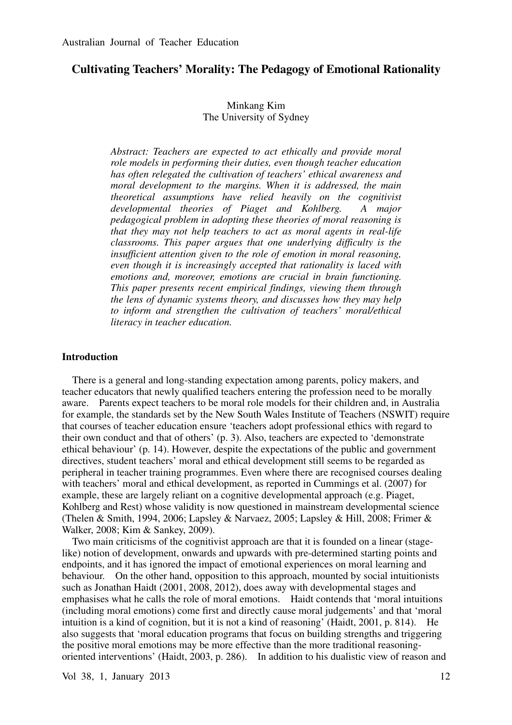# **Cultivating Teachers' Morality: The Pedagogy of Emotional Rationality**

# Minkang Kim The University of Sydney

*Abstract: Teachers are expected to act ethically and provide moral role models in performing their duties, even though teacher education has often relegated the cultivation of teachers' ethical awareness and moral development to the margins. When it is addressed, the main theoretical assumptions have relied heavily on the cognitivist developmental theories of Piaget and Kohlberg. A major pedagogical problem in adopting these theories of moral reasoning is that they may not help teachers to act as moral agents in real-life classrooms. This paper argues that one underlying difficulty is the insufficient attention given to the role of emotion in moral reasoning, even though it is increasingly accepted that rationality is laced with emotions and, moreover, emotions are crucial in brain functioning. This paper presents recent empirical findings, viewing them through the lens of dynamic systems theory, and discusses how they may help to inform and strengthen the cultivation of teachers' moral/ethical literacy in teacher education.* 

#### **Introduction**

There is a general and long-standing expectation among parents, policy makers, and teacher educators that newly qualified teachers entering the profession need to be morally aware. Parents expect teachers to be moral role models for their children and, in Australia for example, the standards set by the New South Wales Institute of Teachers (NSWIT) require that courses of teacher education ensure 'teachers adopt professional ethics with regard to their own conduct and that of others' (p. 3). Also, teachers are expected to 'demonstrate ethical behaviour' (p. 14). However, despite the expectations of the public and government directives, student teachers' moral and ethical development still seems to be regarded as peripheral in teacher training programmes. Even where there are recognised courses dealing with teachers' moral and ethical development, as reported in Cummings et al. (2007) for example, these are largely reliant on a cognitive developmental approach (e.g. Piaget, Kohlberg and Rest) whose validity is now questioned in mainstream developmental science (Thelen & Smith, 1994, 2006; Lapsley & Narvaez, 2005; Lapsley & Hill, 2008; Frimer & Walker, 2008; Kim & Sankey, 2009).

Two main criticisms of the cognitivist approach are that it is founded on a linear (stagelike) notion of development, onwards and upwards with pre-determined starting points and endpoints, and it has ignored the impact of emotional experiences on moral learning and behaviour. On the other hand, opposition to this approach, mounted by social intuitionists such as Jonathan Haidt (2001, 2008, 2012), does away with developmental stages and emphasises what he calls the role of moral emotions. Haidt contends that 'moral intuitions (including moral emotions) come first and directly cause moral judgements' and that 'moral intuition is a kind of cognition, but it is not a kind of reasoning' (Haidt, 2001, p. 814). He also suggests that 'moral education programs that focus on building strengths and triggering the positive moral emotions may be more effective than the more traditional reasoningoriented interventions' (Haidt, 2003, p. 286). In addition to his dualistic view of reason and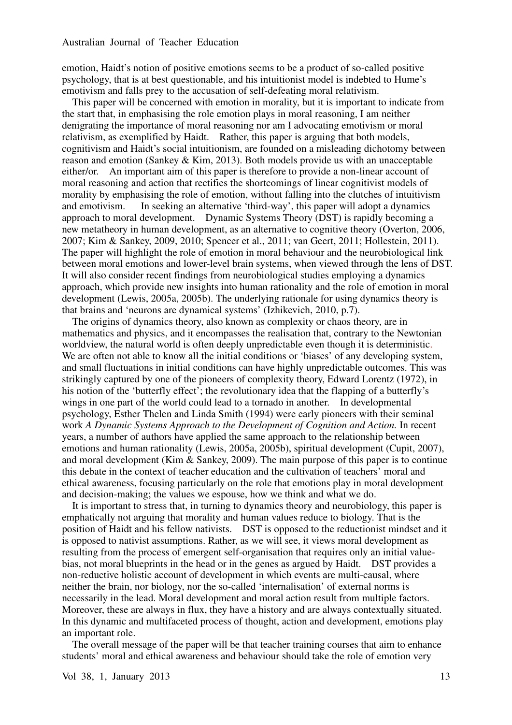emotion, Haidt's notion of positive emotions seems to be a product of so-called positive psychology, that is at best questionable, and his intuitionist model is indebted to Hume's emotivism and falls prey to the accusation of self-defeating moral relativism.

This paper will be concerned with emotion in morality, but it is important to indicate from the start that, in emphasising the role emotion plays in moral reasoning, I am neither denigrating the importance of moral reasoning nor am I advocating emotivism or moral relativism, as exemplified by Haidt. Rather, this paper is arguing that both models, cognitivism and Haidt's social intuitionism, are founded on a misleading dichotomy between reason and emotion (Sankey & Kim, 2013). Both models provide us with an unacceptable either/or. An important aim of this paper is therefore to provide a non-linear account of moral reasoning and action that rectifies the shortcomings of linear cognitivist models of morality by emphasising the role of emotion, without falling into the clutches of intuitivism and emotivism. In seeking an alternative 'third-way', this paper will adopt a dynamics approach to moral development. Dynamic Systems Theory (DST) is rapidly becoming a new metatheory in human development, as an alternative to cognitive theory (Overton, 2006, 2007; Kim & Sankey, 2009, 2010; Spencer et al., 2011; van Geert, 2011; Hollestein, 2011). The paper will highlight the role of emotion in moral behaviour and the neurobiological link between moral emotions and lower-level brain systems, when viewed through the lens of DST. It will also consider recent findings from neurobiological studies employing a dynamics approach, which provide new insights into human rationality and the role of emotion in moral development (Lewis, 2005a, 2005b). The underlying rationale for using dynamics theory is that brains and 'neurons are dynamical systems' (Izhikevich, 2010, p.7).

The origins of dynamics theory, also known as complexity or chaos theory, are in mathematics and physics, and it encompasses the realisation that, contrary to the Newtonian worldview, the natural world is often deeply unpredictable even though it is deterministic. We are often not able to know all the initial conditions or 'biases' of any developing system, and small fluctuations in initial conditions can have highly unpredictable outcomes. This was strikingly captured by one of the pioneers of complexity theory, Edward Lorentz (1972), in his notion of the 'butterfly effect'; the revolutionary idea that the flapping of a butterfly's wings in one part of the world could lead to a tornado in another. In developmental psychology, Esther Thelen and Linda Smith (1994) were early pioneers with their seminal work *A Dynamic Systems Approach to the Development of Cognition and Action.* In recent years, a number of authors have applied the same approach to the relationship between emotions and human rationality (Lewis, 2005a, 2005b), spiritual development (Cupit, 2007), and moral development (Kim & Sankey, 2009). The main purpose of this paper is to continue this debate in the context of teacher education and the cultivation of teachers' moral and ethical awareness, focusing particularly on the role that emotions play in moral development and decision-making; the values we espouse, how we think and what we do.

It is important to stress that, in turning to dynamics theory and neurobiology, this paper is emphatically not arguing that morality and human values reduce to biology. That is the position of Haidt and his fellow nativists. DST is opposed to the reductionist mindset and it is opposed to nativist assumptions. Rather, as we will see, it views moral development as resulting from the process of emergent self-organisation that requires only an initial valuebias, not moral blueprints in the head or in the genes as argued by Haidt. DST provides a non-reductive holistic account of development in which events are multi-causal, where neither the brain, nor biology, nor the so-called 'internalisation' of external norms is necessarily in the lead. Moral development and moral action result from multiple factors. Moreover, these are always in flux, they have a history and are always contextually situated. In this dynamic and multifaceted process of thought, action and development, emotions play an important role.

The overall message of the paper will be that teacher training courses that aim to enhance students' moral and ethical awareness and behaviour should take the role of emotion very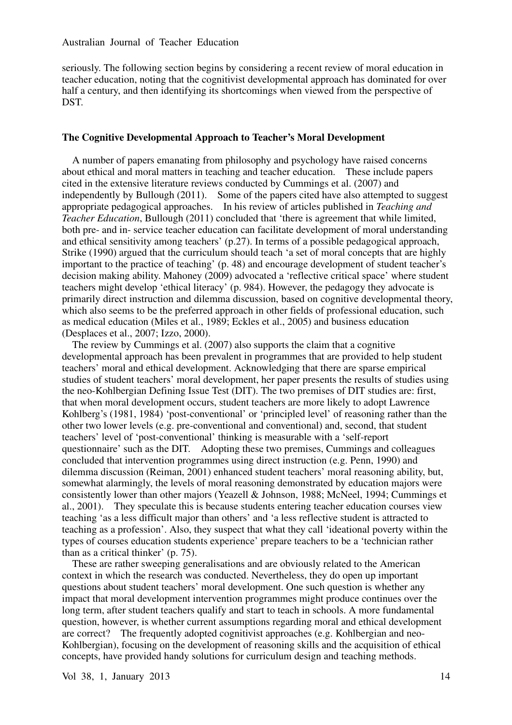seriously. The following section begins by considering a recent review of moral education in teacher education, noting that the cognitivist developmental approach has dominated for over half a century, and then identifying its shortcomings when viewed from the perspective of DST.

#### **The Cognitive Developmental Approach to Teacher's Moral Development**

A number of papers emanating from philosophy and psychology have raised concerns about ethical and moral matters in teaching and teacher education. These include papers cited in the extensive literature reviews conducted by Cummings et al. (2007) and independently by Bullough (2011). Some of the papers cited have also attempted to suggest appropriate pedagogical approaches. In his review of articles published in *Teaching and Teacher Education*, Bullough (2011) concluded that 'there is agreement that while limited, both pre- and in- service teacher education can facilitate development of moral understanding and ethical sensitivity among teachers' (p.27). In terms of a possible pedagogical approach, Strike (1990) argued that the curriculum should teach 'a set of moral concepts that are highly important to the practice of teaching' (p. 48) and encourage development of student teacher's decision making ability. Mahoney (2009) advocated a 'reflective critical space' where student teachers might develop 'ethical literacy' (p. 984). However, the pedagogy they advocate is primarily direct instruction and dilemma discussion, based on cognitive developmental theory, which also seems to be the preferred approach in other fields of professional education, such as medical education (Miles et al., 1989; Eckles et al., 2005) and business education (Desplaces et al., 2007; Izzo, 2000).

The review by Cummings et al. (2007) also supports the claim that a cognitive developmental approach has been prevalent in programmes that are provided to help student teachers' moral and ethical development. Acknowledging that there are sparse empirical studies of student teachers' moral development, her paper presents the results of studies using the neo-Kohlbergian Defining Issue Test (DIT). The two premises of DIT studies are: first, that when moral development occurs, student teachers are more likely to adopt Lawrence Kohlberg's (1981, 1984) 'post-conventional' or 'principled level' of reasoning rather than the other two lower levels (e.g. pre-conventional and conventional) and, second, that student teachers' level of 'post-conventional' thinking is measurable with a 'self-report questionnaire' such as the DIT. Adopting these two premises, Cummings and colleagues concluded that intervention programmes using direct instruction (e.g. Penn, 1990) and dilemma discussion (Reiman, 2001) enhanced student teachers' moral reasoning ability, but, somewhat alarmingly, the levels of moral reasoning demonstrated by education majors were consistently lower than other majors (Yeazell & Johnson, 1988; McNeel, 1994; Cummings et al., 2001). They speculate this is because students entering teacher education courses view teaching 'as a less difficult major than others' and 'a less reflective student is attracted to teaching as a profession'. Also, they suspect that what they call 'ideational poverty within the types of courses education students experience' prepare teachers to be a 'technician rather than as a critical thinker' (p. 75).

These are rather sweeping generalisations and are obviously related to the American context in which the research was conducted. Nevertheless, they do open up important questions about student teachers' moral development. One such question is whether any impact that moral development intervention programmes might produce continues over the long term, after student teachers qualify and start to teach in schools. A more fundamental question, however, is whether current assumptions regarding moral and ethical development are correct? The frequently adopted cognitivist approaches (e.g. Kohlbergian and neo-Kohlbergian), focusing on the development of reasoning skills and the acquisition of ethical concepts, have provided handy solutions for curriculum design and teaching methods.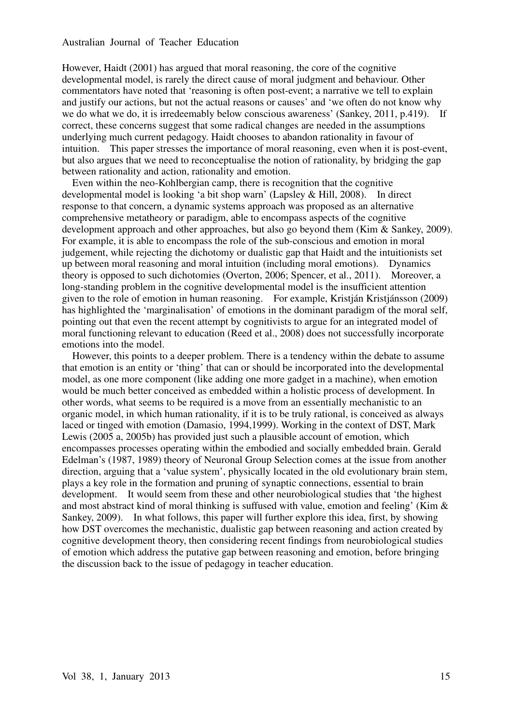However, Haidt (2001) has argued that moral reasoning, the core of the cognitive developmental model, is rarely the direct cause of moral judgment and behaviour. Other commentators have noted that 'reasoning is often post-event; a narrative we tell to explain and justify our actions, but not the actual reasons or causes' and 'we often do not know why we do what we do, it is irredeemably below conscious awareness' (Sankey, 2011, p.419). If correct, these concerns suggest that some radical changes are needed in the assumptions underlying much current pedagogy. Haidt chooses to abandon rationality in favour of intuition. This paper stresses the importance of moral reasoning, even when it is post-event, but also argues that we need to reconceptualise the notion of rationality, by bridging the gap between rationality and action, rationality and emotion.

Even within the neo-Kohlbergian camp, there is recognition that the cognitive developmental model is looking 'a bit shop warn' (Lapsley & Hill, 2008). In direct response to that concern, a dynamic systems approach was proposed as an alternative comprehensive metatheory or paradigm, able to encompass aspects of the cognitive development approach and other approaches, but also go beyond them (Kim & Sankey, 2009). For example, it is able to encompass the role of the sub-conscious and emotion in moral judgement, while rejecting the dichotomy or dualistic gap that Haidt and the intuitionists set up between moral reasoning and moral intuition (including moral emotions). Dynamics theory is opposed to such dichotomies (Overton, 2006; Spencer, et al., 2011). Moreover, a long-standing problem in the cognitive developmental model is the insufficient attention given to the role of emotion in human reasoning. For example, Kristján Kristjánsson (2009) has highlighted the 'marginalisation' of emotions in the dominant paradigm of the moral self, pointing out that even the recent attempt by cognitivists to argue for an integrated model of moral functioning relevant to education (Reed et al., 2008) does not successfully incorporate emotions into the model.

However, this points to a deeper problem. There is a tendency within the debate to assume that emotion is an entity or 'thing' that can or should be incorporated into the developmental model, as one more component (like adding one more gadget in a machine), when emotion would be much better conceived as embedded within a holistic process of development. In other words, what seems to be required is a move from an essentially mechanistic to an organic model, in which human rationality, if it is to be truly rational, is conceived as always laced or tinged with emotion (Damasio, 1994,1999). Working in the context of DST, Mark Lewis (2005 a, 2005b) has provided just such a plausible account of emotion, which encompasses processes operating within the embodied and socially embedded brain. Gerald Edelman's (1987, 1989) theory of Neuronal Group Selection comes at the issue from another direction, arguing that a 'value system', physically located in the old evolutionary brain stem, plays a key role in the formation and pruning of synaptic connections, essential to brain development. It would seem from these and other neurobiological studies that 'the highest and most abstract kind of moral thinking is suffused with value, emotion and feeling' (Kim & Sankey, 2009). In what follows, this paper will further explore this idea, first, by showing how DST overcomes the mechanistic, dualistic gap between reasoning and action created by cognitive development theory, then considering recent findings from neurobiological studies of emotion which address the putative gap between reasoning and emotion, before bringing the discussion back to the issue of pedagogy in teacher education.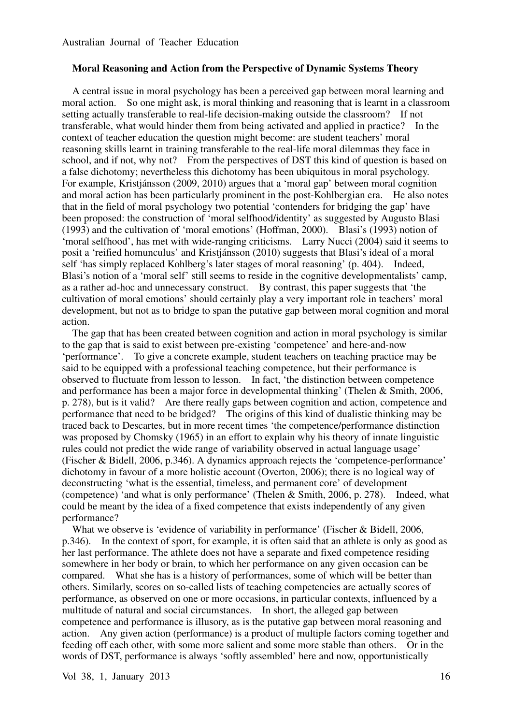#### **Moral Reasoning and Action from the Perspective of Dynamic Systems Theory**

A central issue in moral psychology has been a perceived gap between moral learning and moral action. So one might ask, is moral thinking and reasoning that is learnt in a classroom setting actually transferable to real-life decision-making outside the classroom? If not transferable, what would hinder them from being activated and applied in practice? In the context of teacher education the question might become: are student teachers' moral reasoning skills learnt in training transferable to the real-life moral dilemmas they face in school, and if not, why not? From the perspectives of DST this kind of question is based on a false dichotomy; nevertheless this dichotomy has been ubiquitous in moral psychology. For example, Kristjánsson (2009, 2010) argues that a 'moral gap' between moral cognition and moral action has been particularly prominent in the post-Kohlbergian era. He also notes that in the field of moral psychology two potential 'contenders for bridging the gap' have been proposed: the construction of 'moral selfhood/identity' as suggested by Augusto Blasi (1993) and the cultivation of 'moral emotions' (Hoffman, 2000). Blasi's (1993) notion of 'moral selfhood', has met with wide-ranging criticisms. Larry Nucci (2004) said it seems to posit a 'reified homunculus' and Kristjánsson (2010) suggests that Blasi's ideal of a moral self 'has simply replaced Kohlberg's later stages of moral reasoning' (p. 404). Indeed, Blasi's notion of a 'moral self' still seems to reside in the cognitive developmentalists' camp, as a rather ad-hoc and unnecessary construct. By contrast, this paper suggests that 'the cultivation of moral emotions' should certainly play a very important role in teachers' moral development, but not as to bridge to span the putative gap between moral cognition and moral action.

The gap that has been created between cognition and action in moral psychology is similar to the gap that is said to exist between pre-existing 'competence' and here-and-now 'performance'. To give a concrete example, student teachers on teaching practice may be said to be equipped with a professional teaching competence, but their performance is observed to fluctuate from lesson to lesson. In fact, 'the distinction between competence and performance has been a major force in developmental thinking' (Thelen & Smith, 2006, p. 278), but is it valid? Are there really gaps between cognition and action, competence and performance that need to be bridged? The origins of this kind of dualistic thinking may be traced back to Descartes, but in more recent times 'the competence/performance distinction was proposed by Chomsky (1965) in an effort to explain why his theory of innate linguistic rules could not predict the wide range of variability observed in actual language usage' (Fischer & Bidell, 2006, p.346). A dynamics approach rejects the 'competence-performance' dichotomy in favour of a more holistic account (Overton, 2006); there is no logical way of deconstructing 'what is the essential, timeless, and permanent core' of development (competence) 'and what is only performance' (Thelen & Smith, 2006, p. 278). Indeed, what could be meant by the idea of a fixed competence that exists independently of any given performance?

What we observe is 'evidence of variability in performance' (Fischer & Bidell, 2006, p.346). In the context of sport, for example, it is often said that an athlete is only as good as her last performance. The athlete does not have a separate and fixed competence residing somewhere in her body or brain, to which her performance on any given occasion can be compared. What she has is a history of performances, some of which will be better than others. Similarly, scores on so-called lists of teaching competencies are actually scores of performance, as observed on one or more occasions, in particular contexts, influenced by a multitude of natural and social circumstances. In short, the alleged gap between competence and performance is illusory, as is the putative gap between moral reasoning and action. Any given action (performance) is a product of multiple factors coming together and feeding off each other, with some more salient and some more stable than others. Or in the words of DST, performance is always 'softly assembled' here and now, opportunistically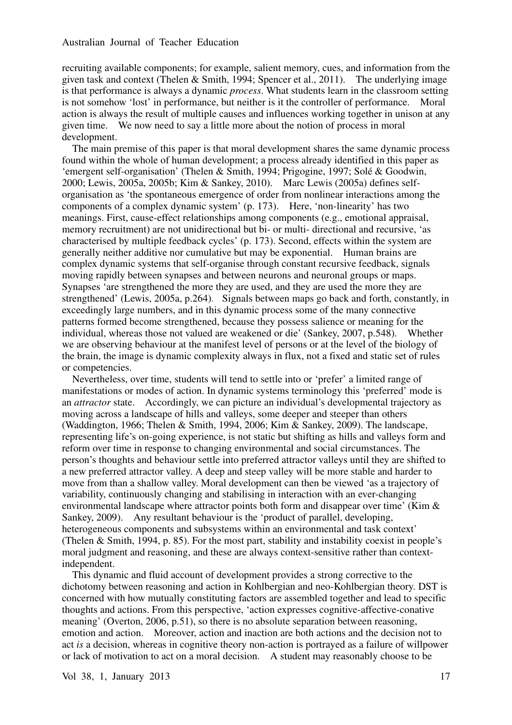recruiting available components; for example, salient memory, cues, and information from the given task and context (Thelen & Smith, 1994; Spencer et al., 2011). The underlying image is that performance is always a dynamic *process*. What students learn in the classroom setting is not somehow 'lost' in performance, but neither is it the controller of performance. Moral action is always the result of multiple causes and influences working together in unison at any given time. We now need to say a little more about the notion of process in moral development.

The main premise of this paper is that moral development shares the same dynamic process found within the whole of human development; a process already identified in this paper as 'emergent self-organisation' (Thelen & Smith, 1994; Prigogine, 1997; Solé & Goodwin, 2000; Lewis, 2005a, 2005b; Kim & Sankey, 2010). Marc Lewis (2005a) defines selforganisation as 'the spontaneous emergence of order from nonlinear interactions among the components of a complex dynamic system' (p. 173). Here, 'non-linearity' has two meanings. First, cause-effect relationships among components (e.g., emotional appraisal, memory recruitment) are not unidirectional but bi- or multi- directional and recursive, 'as characterised by multiple feedback cycles' (p. 173). Second, effects within the system are generally neither additive nor cumulative but may be exponential. Human brains are complex dynamic systems that self-organise through constant recursive feedback, signals moving rapidly between synapses and between neurons and neuronal groups or maps. Synapses 'are strengthened the more they are used, and they are used the more they are strengthened' (Lewis, 2005a, p.264). Signals between maps go back and forth, constantly, in exceedingly large numbers, and in this dynamic process some of the many connective patterns formed become strengthened, because they possess salience or meaning for the individual, whereas those not valued are weakened or die' (Sankey, 2007, p.548). Whether we are observing behaviour at the manifest level of persons or at the level of the biology of the brain, the image is dynamic complexity always in flux, not a fixed and static set of rules or competencies.

Nevertheless, over time, students will tend to settle into or 'prefer' a limited range of manifestations or modes of action. In dynamic systems terminology this 'preferred' mode is an *attractor* state. Accordingly, we can picture an individual's developmental trajectory as moving across a landscape of hills and valleys, some deeper and steeper than others (Waddington, 1966; Thelen & Smith, 1994, 2006; Kim & Sankey, 2009). The landscape, representing life's on-going experience, is not static but shifting as hills and valleys form and reform over time in response to changing environmental and social circumstances. The person's thoughts and behaviour settle into preferred attractor valleys until they are shifted to a new preferred attractor valley. A deep and steep valley will be more stable and harder to move from than a shallow valley. Moral development can then be viewed 'as a trajectory of variability, continuously changing and stabilising in interaction with an ever-changing environmental landscape where attractor points both form and disappear over time' (Kim & Sankey, 2009). Any resultant behaviour is the 'product of parallel, developing, heterogeneous components and subsystems within an environmental and task context' (Thelen & Smith, 1994, p. 85). For the most part, stability and instability coexist in people's moral judgment and reasoning, and these are always context-sensitive rather than contextindependent.

This dynamic and fluid account of development provides a strong corrective to the dichotomy between reasoning and action in Kohlbergian and neo-Kohlbergian theory. DST is concerned with how mutually constituting factors are assembled together and lead to specific thoughts and actions. From this perspective, 'action expresses cognitive-affective-conative meaning' (Overton, 2006, p.51), so there is no absolute separation between reasoning, emotion and action. Moreover, action and inaction are both actions and the decision not to act *is* a decision, whereas in cognitive theory non-action is portrayed as a failure of willpower or lack of motivation to act on a moral decision. A student may reasonably choose to be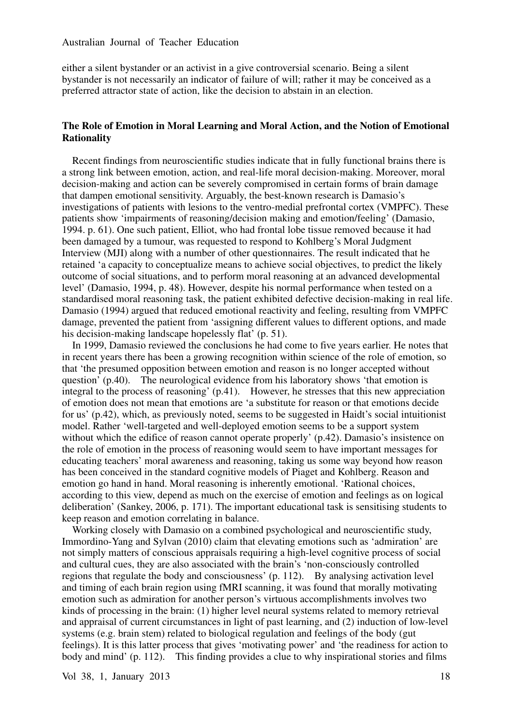either a silent bystander or an activist in a give controversial scenario. Being a silent bystander is not necessarily an indicator of failure of will; rather it may be conceived as a preferred attractor state of action, like the decision to abstain in an election.

# **The Role of Emotion in Moral Learning and Moral Action, and the Notion of Emotional Rationality**

Recent findings from neuroscientific studies indicate that in fully functional brains there is a strong link between emotion, action, and real-life moral decision-making. Moreover, moral decision-making and action can be severely compromised in certain forms of brain damage that dampen emotional sensitivity. Arguably, the best-known research is Damasio's investigations of patients with lesions to the ventro-medial prefrontal cortex (VMPFC). These patients show 'impairments of reasoning/decision making and emotion/feeling' (Damasio, 1994. p. 61). One such patient, Elliot, who had frontal lobe tissue removed because it had been damaged by a tumour, was requested to respond to Kohlberg's Moral Judgment Interview (MJI) along with a number of other questionnaires. The result indicated that he retained 'a capacity to conceptualize means to achieve social objectives, to predict the likely outcome of social situations, and to perform moral reasoning at an advanced developmental level' (Damasio, 1994, p. 48). However, despite his normal performance when tested on a standardised moral reasoning task, the patient exhibited defective decision-making in real life. Damasio (1994) argued that reduced emotional reactivity and feeling, resulting from VMPFC damage, prevented the patient from 'assigning different values to different options, and made his decision-making landscape hopelessly flat' (p. 51).

In 1999, Damasio reviewed the conclusions he had come to five years earlier. He notes that in recent years there has been a growing recognition within science of the role of emotion, so that 'the presumed opposition between emotion and reason is no longer accepted without question' (p.40). The neurological evidence from his laboratory shows 'that emotion is integral to the process of reasoning' (p.41). However, he stresses that this new appreciation of emotion does not mean that emotions are 'a substitute for reason or that emotions decide for us' (p.42), which, as previously noted, seems to be suggested in Haidt's social intuitionist model. Rather 'well-targeted and well-deployed emotion seems to be a support system without which the edifice of reason cannot operate properly' (p.42). Damasio's insistence on the role of emotion in the process of reasoning would seem to have important messages for educating teachers' moral awareness and reasoning, taking us some way beyond how reason has been conceived in the standard cognitive models of Piaget and Kohlberg. Reason and emotion go hand in hand. Moral reasoning is inherently emotional. 'Rational choices, according to this view, depend as much on the exercise of emotion and feelings as on logical deliberation' (Sankey, 2006, p. 171). The important educational task is sensitising students to keep reason and emotion correlating in balance.

Working closely with Damasio on a combined psychological and neuroscientific study, Immordino-Yang and Sylvan (2010) claim that elevating emotions such as 'admiration' are not simply matters of conscious appraisals requiring a high-level cognitive process of social and cultural cues, they are also associated with the brain's 'non-consciously controlled regions that regulate the body and consciousness' (p. 112). By analysing activation level and timing of each brain region using fMRI scanning, it was found that morally motivating emotion such as admiration for another person's virtuous accomplishments involves two kinds of processing in the brain: (1) higher level neural systems related to memory retrieval and appraisal of current circumstances in light of past learning, and (2) induction of low-level systems (e.g. brain stem) related to biological regulation and feelings of the body (gut feelings). It is this latter process that gives 'motivating power' and 'the readiness for action to body and mind' (p. 112). This finding provides a clue to why inspirational stories and films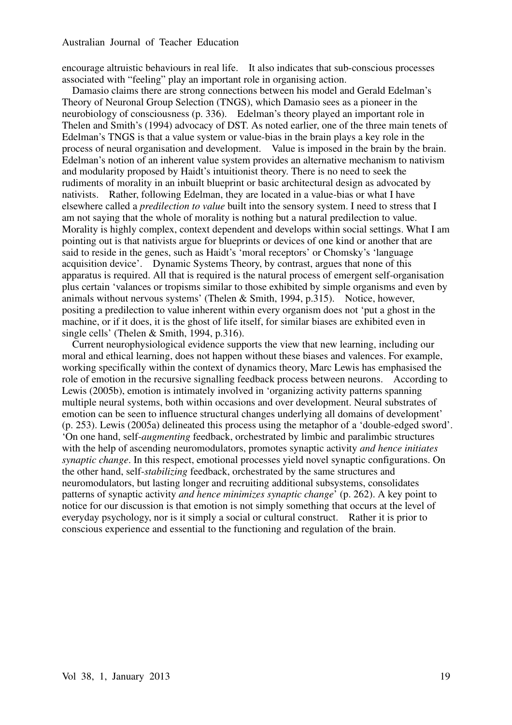encourage altruistic behaviours in real life. It also indicates that sub-conscious processes associated with "feeling" play an important role in organising action.

Damasio claims there are strong connections between his model and Gerald Edelman's Theory of Neuronal Group Selection (TNGS), which Damasio sees as a pioneer in the neurobiology of consciousness (p. 336). Edelman's theory played an important role in Thelen and Smith's (1994) advocacy of DST. As noted earlier, one of the three main tenets of Edelman's TNGS is that a value system or value-bias in the brain plays a key role in the process of neural organisation and development. Value is imposed in the brain by the brain. Edelman's notion of an inherent value system provides an alternative mechanism to nativism and modularity proposed by Haidt's intuitionist theory. There is no need to seek the rudiments of morality in an inbuilt blueprint or basic architectural design as advocated by nativists. Rather, following Edelman, they are located in a value-bias or what I have elsewhere called a *predilection to value* built into the sensory system. I need to stress that I am not saying that the whole of morality is nothing but a natural predilection to value. Morality is highly complex, context dependent and develops within social settings. What I am pointing out is that nativists argue for blueprints or devices of one kind or another that are said to reside in the genes, such as Haidt's 'moral receptors' or Chomsky's 'language acquisition device'. Dynamic Systems Theory, by contrast, argues that none of this apparatus is required. All that is required is the natural process of emergent self-organisation plus certain 'valances or tropisms similar to those exhibited by simple organisms and even by animals without nervous systems' (Thelen & Smith, 1994, p.315). Notice, however, positing a predilection to value inherent within every organism does not 'put a ghost in the machine, or if it does, it is the ghost of life itself, for similar biases are exhibited even in single cells' (Thelen & Smith, 1994, p.316).

Current neurophysiological evidence supports the view that new learning, including our moral and ethical learning, does not happen without these biases and valences. For example, working specifically within the context of dynamics theory, Marc Lewis has emphasised the role of emotion in the recursive signalling feedback process between neurons. According to Lewis (2005b), emotion is intimately involved in 'organizing activity patterns spanning multiple neural systems, both within occasions and over development. Neural substrates of emotion can be seen to influence structural changes underlying all domains of development' (p. 253). Lewis (2005a) delineated this process using the metaphor of a 'double-edged sword'. 'On one hand, self-*augmenting* feedback, orchestrated by limbic and paralimbic structures with the help of ascending neuromodulators, promotes synaptic activity *and hence initiates synaptic change*. In this respect, emotional processes yield novel synaptic configurations. On the other hand, self-*stabilizing* feedback, orchestrated by the same structures and neuromodulators, but lasting longer and recruiting additional subsystems, consolidates patterns of synaptic activity *and hence minimizes synaptic change*' (p. 262). A key point to notice for our discussion is that emotion is not simply something that occurs at the level of everyday psychology, nor is it simply a social or cultural construct. Rather it is prior to conscious experience and essential to the functioning and regulation of the brain.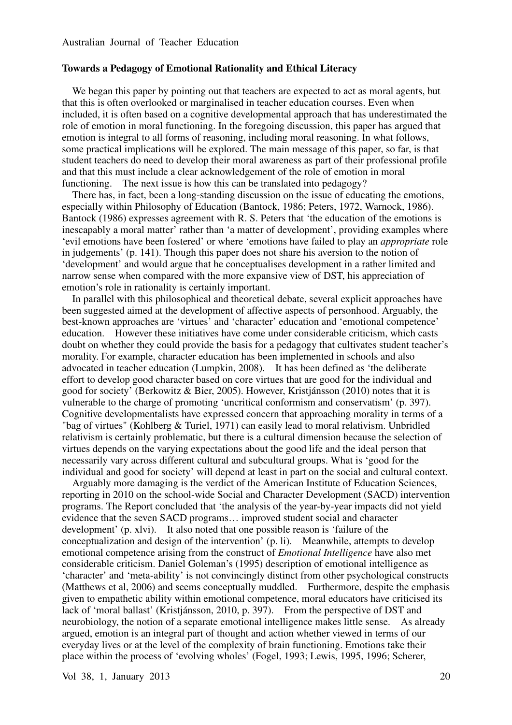#### **Towards a Pedagogy of Emotional Rationality and Ethical Literacy**

We began this paper by pointing out that teachers are expected to act as moral agents, but that this is often overlooked or marginalised in teacher education courses. Even when included, it is often based on a cognitive developmental approach that has underestimated the role of emotion in moral functioning. In the foregoing discussion, this paper has argued that emotion is integral to all forms of reasoning, including moral reasoning. In what follows, some practical implications will be explored. The main message of this paper, so far, is that student teachers do need to develop their moral awareness as part of their professional profile and that this must include a clear acknowledgement of the role of emotion in moral functioning. The next issue is how this can be translated into pedagogy?

There has, in fact, been a long-standing discussion on the issue of educating the emotions, especially within Philosophy of Education (Bantock, 1986; Peters, 1972, Warnock, 1986). Bantock (1986) expresses agreement with R. S. Peters that 'the education of the emotions is inescapably a moral matter' rather than 'a matter of development', providing examples where 'evil emotions have been fostered' or where 'emotions have failed to play an *appropriate* role in judgements' (p. 141). Though this paper does not share his aversion to the notion of 'development' and would argue that he conceptualises development in a rather limited and narrow sense when compared with the more expansive view of DST, his appreciation of emotion's role in rationality is certainly important.

In parallel with this philosophical and theoretical debate, several explicit approaches have been suggested aimed at the development of affective aspects of personhood. Arguably, the best-known approaches are 'virtues' and 'character' education and 'emotional competence' education. However these initiatives have come under considerable criticism, which casts doubt on whether they could provide the basis for a pedagogy that cultivates student teacher's morality. For example, character education has been implemented in schools and also advocated in teacher education (Lumpkin, 2008). It has been defined as 'the deliberate effort to develop good character based on core virtues that are good for the individual and good for society' (Berkowitz & Bier, 2005). However, Kristjánsson (2010) notes that it is vulnerable to the charge of promoting 'uncritical conformism and conservatism' (p. 397). Cognitive developmentalists have expressed concern that approaching morality in terms of a "bag of virtues" (Kohlberg & Turiel, 1971) can easily lead to moral relativism. Unbridled relativism is certainly problematic, but there is a cultural dimension because the selection of virtues depends on the varying expectations about the good life and the ideal person that necessarily vary across different cultural and subcultural groups. What is 'good for the individual and good for society' will depend at least in part on the social and cultural context.

Arguably more damaging is the verdict of the American Institute of Education Sciences, reporting in 2010 on the school-wide Social and Character Development (SACD) intervention programs. The Report concluded that 'the analysis of the year-by-year impacts did not yield evidence that the seven SACD programs… improved student social and character development' (p. xlvi). It also noted that one possible reason is 'failure of the conceptualization and design of the intervention' (p. li). Meanwhile, attempts to develop emotional competence arising from the construct of *Emotional Intelligence* have also met considerable criticism. Daniel Goleman's (1995) description of emotional intelligence as 'character' and 'meta-ability' is not convincingly distinct from other psychological constructs (Matthews et al, 2006) and seems conceptually muddled. Furthermore, despite the emphasis given to empathetic ability within emotional competence, moral educators have criticised its lack of 'moral ballast' (Kristjánsson, 2010, p. 397). From the perspective of DST and neurobiology, the notion of a separate emotional intelligence makes little sense. As already argued, emotion is an integral part of thought and action whether viewed in terms of our everyday lives or at the level of the complexity of brain functioning. Emotions take their place within the process of 'evolving wholes' (Fogel, 1993; Lewis, 1995, 1996; Scherer,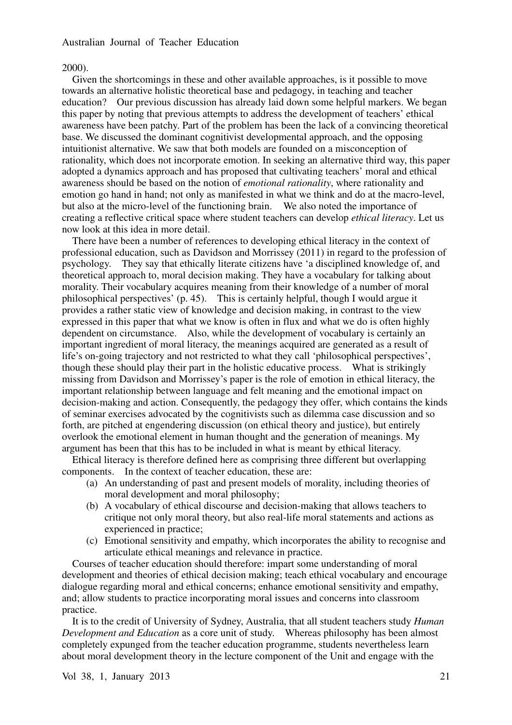#### 2000).

Given the shortcomings in these and other available approaches, is it possible to move towards an alternative holistic theoretical base and pedagogy, in teaching and teacher education? Our previous discussion has already laid down some helpful markers. We began this paper by noting that previous attempts to address the development of teachers' ethical awareness have been patchy. Part of the problem has been the lack of a convincing theoretical base. We discussed the dominant cognitivist developmental approach, and the opposing intuitionist alternative. We saw that both models are founded on a misconception of rationality, which does not incorporate emotion. In seeking an alternative third way, this paper adopted a dynamics approach and has proposed that cultivating teachers' moral and ethical awareness should be based on the notion of *emotional rationality*, where rationality and emotion go hand in hand; not only as manifested in what we think and do at the macro-level, but also at the micro-level of the functioning brain. We also noted the importance of creating a reflective critical space where student teachers can develop *ethical literacy*. Let us now look at this idea in more detail.

There have been a number of references to developing ethical literacy in the context of professional education, such as Davidson and Morrissey (2011) in regard to the profession of psychology. They say that ethically literate citizens have 'a disciplined knowledge of, and theoretical approach to, moral decision making. They have a vocabulary for talking about morality. Their vocabulary acquires meaning from their knowledge of a number of moral philosophical perspectives' (p. 45). This is certainly helpful, though I would argue it provides a rather static view of knowledge and decision making, in contrast to the view expressed in this paper that what we know is often in flux and what we do is often highly dependent on circumstance. Also, while the development of vocabulary is certainly an important ingredient of moral literacy, the meanings acquired are generated as a result of life's on-going trajectory and not restricted to what they call 'philosophical perspectives', though these should play their part in the holistic educative process. What is strikingly missing from Davidson and Morrissey's paper is the role of emotion in ethical literacy, the important relationship between language and felt meaning and the emotional impact on decision-making and action. Consequently, the pedagogy they offer, which contains the kinds of seminar exercises advocated by the cognitivists such as dilemma case discussion and so forth, are pitched at engendering discussion (on ethical theory and justice), but entirely overlook the emotional element in human thought and the generation of meanings. My argument has been that this has to be included in what is meant by ethical literacy.

Ethical literacy is therefore defined here as comprising three different but overlapping components. In the context of teacher education, these are:

- (a) An understanding of past and present models of morality, including theories of moral development and moral philosophy;
- (b) A vocabulary of ethical discourse and decision-making that allows teachers to critique not only moral theory, but also real-life moral statements and actions as experienced in practice;
- (c) Emotional sensitivity and empathy, which incorporates the ability to recognise and articulate ethical meanings and relevance in practice.

Courses of teacher education should therefore: impart some understanding of moral development and theories of ethical decision making; teach ethical vocabulary and encourage dialogue regarding moral and ethical concerns; enhance emotional sensitivity and empathy, and; allow students to practice incorporating moral issues and concerns into classroom practice.

It is to the credit of University of Sydney, Australia, that all student teachers study *Human Development and Education* as a core unit of study. Whereas philosophy has been almost completely expunged from the teacher education programme, students nevertheless learn about moral development theory in the lecture component of the Unit and engage with the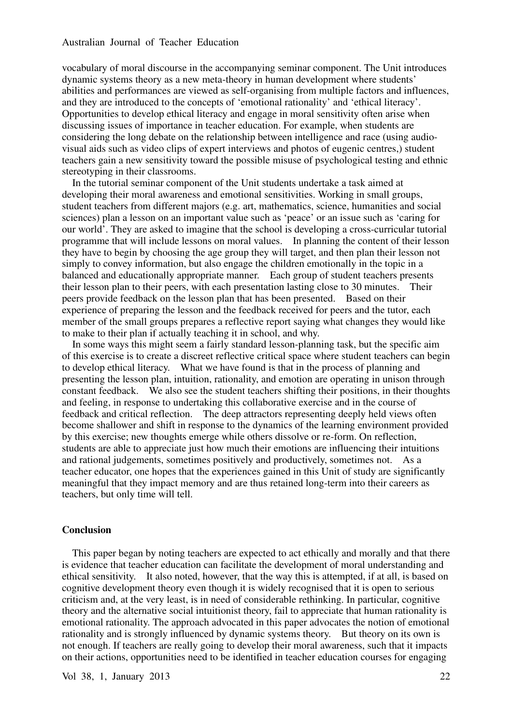vocabulary of moral discourse in the accompanying seminar component. The Unit introduces dynamic systems theory as a new meta-theory in human development where students' abilities and performances are viewed as self-organising from multiple factors and influences, and they are introduced to the concepts of 'emotional rationality' and 'ethical literacy'. Opportunities to develop ethical literacy and engage in moral sensitivity often arise when discussing issues of importance in teacher education. For example, when students are considering the long debate on the relationship between intelligence and race (using audiovisual aids such as video clips of expert interviews and photos of eugenic centres,) student teachers gain a new sensitivity toward the possible misuse of psychological testing and ethnic stereotyping in their classrooms.

In the tutorial seminar component of the Unit students undertake a task aimed at developing their moral awareness and emotional sensitivities. Working in small groups, student teachers from different majors (e.g. art, mathematics, science, humanities and social sciences) plan a lesson on an important value such as 'peace' or an issue such as 'caring for our world'. They are asked to imagine that the school is developing a cross-curricular tutorial programme that will include lessons on moral values. In planning the content of their lesson they have to begin by choosing the age group they will target, and then plan their lesson not simply to convey information, but also engage the children emotionally in the topic in a balanced and educationally appropriate manner. Each group of student teachers presents their lesson plan to their peers, with each presentation lasting close to 30 minutes. Their peers provide feedback on the lesson plan that has been presented. Based on their experience of preparing the lesson and the feedback received for peers and the tutor, each member of the small groups prepares a reflective report saying what changes they would like to make to their plan if actually teaching it in school, and why.

In some ways this might seem a fairly standard lesson-planning task, but the specific aim of this exercise is to create a discreet reflective critical space where student teachers can begin to develop ethical literacy. What we have found is that in the process of planning and presenting the lesson plan, intuition, rationality, and emotion are operating in unison through constant feedback. We also see the student teachers shifting their positions, in their thoughts and feeling, in response to undertaking this collaborative exercise and in the course of feedback and critical reflection. The deep attractors representing deeply held views often become shallower and shift in response to the dynamics of the learning environment provided by this exercise; new thoughts emerge while others dissolve or re-form. On reflection, students are able to appreciate just how much their emotions are influencing their intuitions and rational judgements, sometimes positively and productively, sometimes not. As a teacher educator, one hopes that the experiences gained in this Unit of study are significantly meaningful that they impact memory and are thus retained long-term into their careers as teachers, but only time will tell.

#### **Conclusion**

This paper began by noting teachers are expected to act ethically and morally and that there is evidence that teacher education can facilitate the development of moral understanding and ethical sensitivity. It also noted, however, that the way this is attempted, if at all, is based on cognitive development theory even though it is widely recognised that it is open to serious criticism and, at the very least, is in need of considerable rethinking. In particular, cognitive theory and the alternative social intuitionist theory, fail to appreciate that human rationality is emotional rationality. The approach advocated in this paper advocates the notion of emotional rationality and is strongly influenced by dynamic systems theory. But theory on its own is not enough. If teachers are really going to develop their moral awareness, such that it impacts on their actions, opportunities need to be identified in teacher education courses for engaging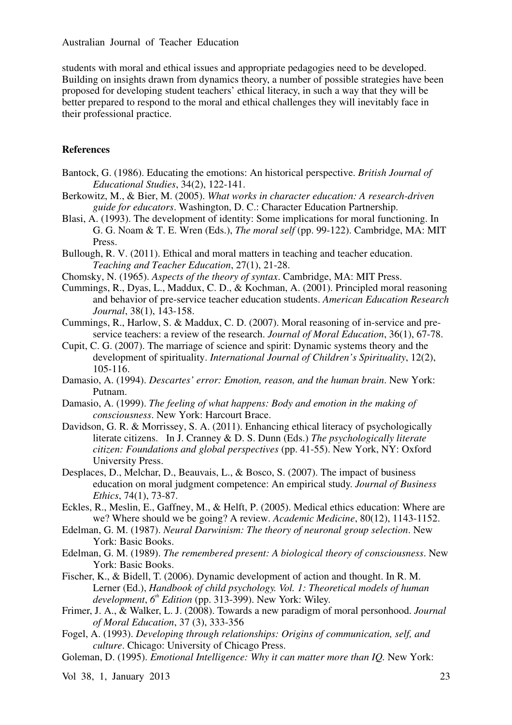students with moral and ethical issues and appropriate pedagogies need to be developed. Building on insights drawn from dynamics theory, a number of possible strategies have been proposed for developing student teachers' ethical literacy, in such a way that they will be better prepared to respond to the moral and ethical challenges they will inevitably face in their professional practice.

# **References**

- Bantock, G. (1986). Educating the emotions: An historical perspective. *British Journal of Educational Studies*, 34(2), 122-141.
- Berkowitz, M., & Bier, M. (2005). *What works in character education: A research-driven guide for educators*. Washington, D. C.: Character Education Partnership.
- Blasi, A. (1993). The development of identity: Some implications for moral functioning. In G. G. Noam & T. E. Wren (Eds.), *The moral self* (pp. 99-122). Cambridge, MA: MIT Press.
- Bullough, R. V. (2011). Ethical and moral matters in teaching and teacher education. *Teaching and Teacher Education*, 27(1), 21-28.
- Chomsky, N. (1965). *Aspects of the theory of syntax*. Cambridge, MA: MIT Press.
- Cummings, R., Dyas, L., Maddux, C. D., & Kochman, A. (2001). Principled moral reasoning and behavior of pre-service teacher education students. *American Education Research Journal*, 38(1), 143-158.
- Cummings, R., Harlow, S. & Maddux, C. D. (2007). Moral reasoning of in-service and preservice teachers: a review of the research. *Journal of Moral Education*, 36(1), 67-78.
- Cupit, C. G. (2007). The marriage of science and spirit: Dynamic systems theory and the development of spirituality. *International Journal of Children's Spirituality*, 12(2), 105-116.
- Damasio, A. (1994). *Descartes' error: Emotion, reason, and the human brain*. New York: Putnam.
- Damasio, A. (1999). *The feeling of what happens: Body and emotion in the making of consciousness*. New York: Harcourt Brace.
- Davidson, G. R. & Morrissey, S. A. (2011). Enhancing ethical literacy of psychologically literate citizens. In J. Cranney & D. S. Dunn (Eds.) *The psychologically literate citizen: Foundations and global perspectives* (pp. 41-55). New York, NY: Oxford University Press.
- Desplaces, D., Melchar, D., Beauvais, L., & Bosco, S. (2007). The impact of business education on moral judgment competence: An empirical study. *Journal of Business Ethics*, 74(1), 73-87.
- Eckles, R., Meslin, E., Gaffney, M., & Helft, P. (2005). Medical ethics education: Where are we? Where should we be going? A review. *Academic Medicine*, 80(12), 1143-1152.
- Edelman, G. M. (1987). *Neural Darwinism: The theory of neuronal group selection*. New York: Basic Books.
- Edelman, G. M. (1989). *The remembered present: A biological theory of consciousness*. New York: Basic Books.
- Fischer, K., & Bidell, T. (2006). Dynamic development of action and thought. In R. M. Lerner (Ed.), *Handbook of child psychology. Vol. 1: Theoretical models of human development*, *6 th Edition* (pp. 313-399). New York: Wiley.
- Frimer, J. A., & Walker, L. J. (2008). Towards a new paradigm of moral personhood. *Journal of Moral Education*, 37 (3), 333-356
- Fogel, A. (1993). *Developing through relationships: Origins of communication, self, and culture*. Chicago: University of Chicago Press.
- Goleman, D. (1995). *Emotional Intelligence: Why it can matter more than IQ.* New York: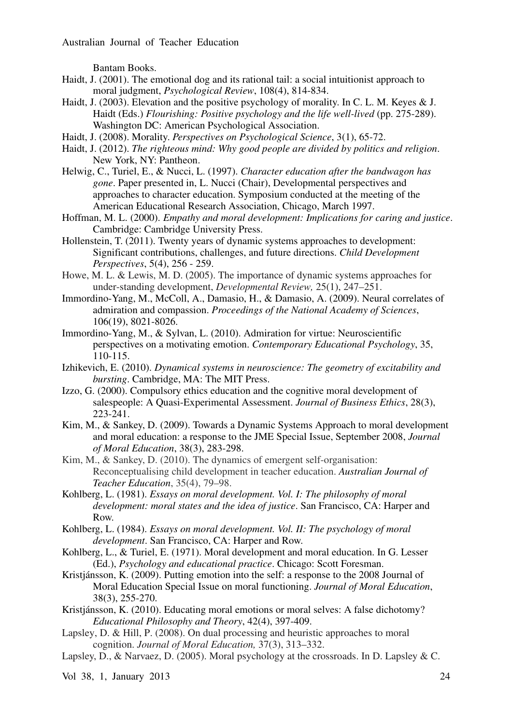Bantam Books.

- Haidt, J. (2001). The emotional dog and its rational tail: a social intuitionist approach to moral judgment, *Psychological Review*, 108(4), 814-834.
- Haidt, J. (2003). Elevation and the positive psychology of morality. In C. L. M. Keyes & J. Haidt (Eds.) *Flourishing: Positive psychology and the life well-lived* (pp. 275-289). Washington DC: American Psychological Association.
- Haidt, J. (2008). Morality. *Perspectives on Psychological Science*, 3(1), 65-72.
- Haidt, J. (2012). *The righteous mind: Why good people are divided by politics and religion*. New York, NY: Pantheon.
- Helwig, C., Turiel, E., & Nucci, L. (1997). *Character education after the bandwagon has gone*. Paper presented in, L. Nucci (Chair), Developmental perspectives and approaches to character education. Symposium conducted at the meeting of the American Educational Research Association, Chicago, March 1997.
- Hoffman, M. L. (2000). *Empathy and moral development: Implications for caring and justice*. Cambridge: Cambridge University Press.
- Hollenstein, T. (2011). Twenty years of dynamic systems approaches to development: Significant contributions, challenges, and future directions. *Child Development Perspectives*, 5(4), 256 - 259.
- Howe, M. L. & Lewis, M. D. (2005). The importance of dynamic systems approaches for under-standing development, *Developmental Review,* 25(1), 247–251.
- Immordino-Yang, M., McColl, A., Damasio, H., & Damasio, A. (2009). Neural correlates of admiration and compassion. *Proceedings of the National Academy of Sciences*, 106(19), 8021-8026.
- Immordino-Yang, M., & Sylvan, L. (2010). Admiration for virtue: Neuroscientific perspectives on a motivating emotion. *Contemporary Educational Psychology*, 35, 110-115.
- Izhikevich, E. (2010). *Dynamical systems in neuroscience: The geometry of excitability and bursting*. Cambridge, MA: The MIT Press.
- Izzo, G. (2000). Compulsory ethics education and the cognitive moral development of salespeople: A Quasi-Experimental Assessment. *Journal of Business Ethics*, 28(3), 223-241.
- Kim, M., & Sankey, D. (2009). Towards a Dynamic Systems Approach to moral development and moral education: a response to the JME Special Issue, September 2008, *Journal of Moral Education*, 38(3), 283-298.
- Kim, M., & Sankey, D. (2010). The dynamics of emergent self-organisation: Reconceptualising child development in teacher education. *Australian Journal of Teacher Education*, 35(4), 79–98.
- Kohlberg, L. (1981). *Essays on moral development. Vol. I: The philosophy of moral development: moral states and the idea of justice*. San Francisco, CA: Harper and Row.
- Kohlberg, L. (1984). *Essays on moral development. Vol. II: The psychology of moral development*. San Francisco, CA: Harper and Row.
- Kohlberg, L., & Turiel, E. (1971). Moral development and moral education. In G. Lesser (Ed.), *Psychology and educational practice*. Chicago: Scott Foresman.
- Kristjánsson, K. (2009). Putting emotion into the self: a response to the 2008 Journal of Moral Education Special Issue on moral functioning. *Journal of Moral Education*, 38(3), 255-270.
- Kristjánsson, K. (2010). Educating moral emotions or moral selves: A false dichotomy? *Educational Philosophy and Theory*, 42(4), 397-409.
- Lapsley, D. & Hill, P. (2008). On dual processing and heuristic approaches to moral cognition. *Journal of Moral Education,* 37(3), 313–332.
- Lapsley, D., & Narvaez, D. (2005). Moral psychology at the crossroads. In D. Lapsley & C.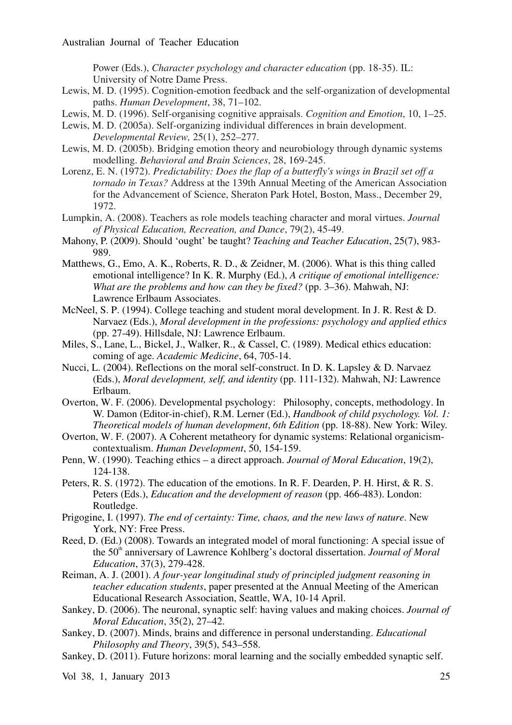Power (Eds.), *Character psychology and character education* (pp. 18-35). IL: University of Notre Dame Press.

- Lewis, M. D. (1995). Cognition-emotion feedback and the self-organization of developmental paths. *Human Development*, 38, 71–102.
- Lewis, M. D. (1996). Self-organising cognitive appraisals. *Cognition and Emotion*, 10, 1–25.
- Lewis, M. D. (2005a). Self-organizing individual differences in brain development. *Developmental Review,* 25(1), 252–277.
- Lewis, M. D. (2005b). Bridging emotion theory and neurobiology through dynamic systems modelling. *Behavioral and Brain Sciences*, 28, 169-245.
- Lorenz, E. N. (1972). *Predictability: Does the flap of a butterfly's wings in Brazil set off a tornado in Texas?* Address at the 139th Annual Meeting of the American Association for the Advancement of Science, Sheraton Park Hotel, Boston, Mass., December 29, 1972.
- Lumpkin, A. (2008). Teachers as role models teaching character and moral virtues. *Journal of Physical Education, Recreation, and Dance*, 79(2), 45-49.
- Mahony, P. (2009). Should 'ought' be taught? *Teaching and Teacher Education*, 25(7), 983- 989.
- Matthews, G., Emo, A. K., Roberts, R. D., & Zeidner, M. (2006). What is this thing called emotional intelligence? In K. R. Murphy (Ed.), *A critique of emotional intelligence: What are the problems and how can they be fixed?* (pp. 3–36). Mahwah, NJ: Lawrence Erlbaum Associates.
- McNeel, S. P. (1994). College teaching and student moral development. In J. R. Rest & D. Narvaez (Eds.), *Moral development in the professions: psychology and applied ethics* (pp. 27-49). Hillsdale, NJ: Lawrence Erlbaum.
- Miles, S., Lane, L., Bickel, J., Walker, R., & Cassel, C. (1989). Medical ethics education: coming of age. *Academic Medicine*, 64, 705-14.
- Nucci, L. (2004). Reflections on the moral self-construct. In D. K. Lapsley & D. Narvaez (Eds.), *Moral development, self, and identity* (pp. 111-132). Mahwah, NJ: Lawrence Erlbaum.
- Overton, W. F. (2006). Developmental psychology: Philosophy, concepts, methodology. In W. Damon (Editor-in-chief), R.M. Lerner (Ed.), *Handbook of child psychology. Vol. 1: Theoretical models of human development*, *6th Edition* (pp. 18-88). New York: Wiley.
- Overton, W. F. (2007). A Coherent metatheory for dynamic systems: Relational organicismcontextualism. *Human Development*, 50, 154-159.
- Penn, W. (1990). Teaching ethics a direct approach. *Journal of Moral Education*, 19(2), 124-138.
- Peters, R. S. (1972). The education of the emotions. In R. F. Dearden, P. H. Hirst, & R. S. Peters (Eds.), *Education and the development of reason* (pp. 466-483). London: Routledge.
- Prigogine, I. (1997). *The end of certainty: Time, chaos, and the new laws of nature*. New York, NY: Free Press.
- Reed, D. (Ed.) (2008). Towards an integrated model of moral functioning: A special issue of the 50<sup>th</sup> anniversary of Lawrence Kohlberg's doctoral dissertation. *Journal of Moral Education*, 37(3), 279-428.
- Reiman, A. J. (2001). *A four-year longitudinal study of principled judgment reasoning in teacher education students*, paper presented at the Annual Meeting of the American Educational Research Association, Seattle, WA, 10-14 April.
- Sankey, D. (2006). The neuronal, synaptic self: having values and making choices. *Journal of Moral Education*, 35(2), 27–42.
- Sankey, D. (2007). Minds, brains and difference in personal understanding. *Educational Philosophy and Theory*, 39(5), 543–558.
- Sankey, D. (2011). Future horizons: moral learning and the socially embedded synaptic self.